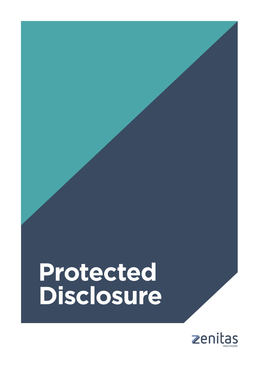# **Disclosure Protected**

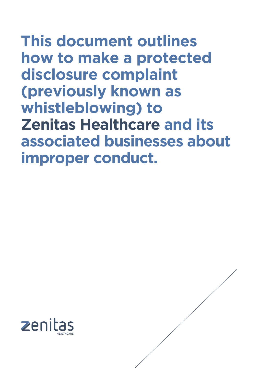**This document outlines how to make a protected disclosure complaint (previously known as whistleblowing) to Zenitas Healthcare and its associated businesses about improper conduct.** 



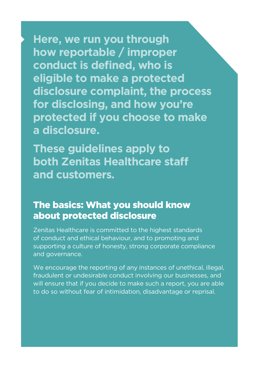**Here, we run you through how reportable / improper conduct is defined, who is eligible to make a protected disclosure complaint, the process for disclosing, and how you're protected if you choose to make a disclosure.**

**These guidelines apply to both Zenitas Healthcare staff and customers.**

#### The basics: What you should know about protected disclosure

Zenitas Healthcare is committed to the highest standards of conduct and ethical behaviour, and to promoting and supporting a culture of honesty, strong corporate compliance and governance.

We encourage the reporting of any instances of unethical, illegal, fraudulent or undesirable conduct involving our businesses, and will ensure that if you decide to make such a report, you are able to do so without fear of intimidation, disadvantage or reprisal.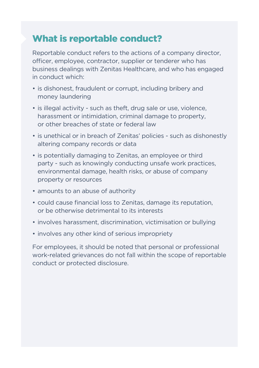#### What is reportable conduct?

Reportable conduct refers to the actions of a company director, officer, employee, contractor, supplier or tenderer who has business dealings with Zenitas Healthcare, and who has engaged in conduct which:

- is dishonest, fraudulent or corrupt, including bribery and money laundering
- is illegal activity such as theft, drug sale or use, violence, harassment or intimidation, criminal damage to property, or other breaches of state or federal law
- is unethical or in breach of Zenitas' policies such as dishonestly altering company records or data
- is potentially damaging to Zenitas, an employee or third party - such as knowingly conducting unsafe work practices, environmental damage, health risks, or abuse of company property or resources
- amounts to an abuse of authority
- could cause financial loss to Zenitas, damage its reputation, or be otherwise detrimental to its interests
- involves harassment, discrimination, victimisation or bullying
- involves any other kind of serious impropriety

For employees, it should be noted that personal or professional work-related grievances do not fall within the scope of reportable conduct or protected disclosure.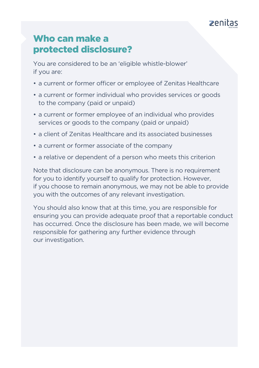

#### Who can make a protected disclosure?

You are considered to be an 'eligible whistle-blower' if you are:

- a current or former officer or employee of Zenitas Healthcare
- a current or former individual who provides services or goods to the company (paid or unpaid)
- a current or former employee of an individual who provides services or goods to the company (paid or unpaid)
- a client of Zenitas Healthcare and its associated businesses
- a current or former associate of the company
- a relative or dependent of a person who meets this criterion

Note that disclosure can be anonymous. There is no requirement for you to identify yourself to qualify for protection. However, if you choose to remain anonymous, we may not be able to provide you with the outcomes of any relevant investigation.

You should also know that at this time, you are responsible for ensuring you can provide adequate proof that a reportable conduct has occurred. Once the disclosure has been made, we will become responsible for gathering any further evidence through our investigation.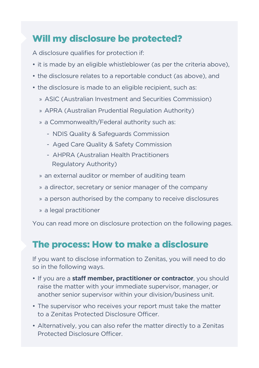# Will my disclosure be protected?

A disclosure qualifies for protection if:

- it is made by an eligible whistleblower (as per the criteria above),
- the disclosure relates to a reportable conduct (as above), and
- the disclosure is made to an eligible recipient, such as:
	- » ASIC (Australian Investment and Securities Commission)
	- » APRA (Australian Prudential Regulation Authority)
	- » a Commonwealth/Federal authority such as:
		- NDIS Quality & Safeguards Commission
		- Aged Care Quality & Safety Commission
		- AHPRA (Australian Health Practitioners Regulatory Authority)
	- » an external auditor or member of auditing team
	- » a director, secretary or senior manager of the company
	- » a person authorised by the company to receive disclosures
	- » a legal practitioner

You can read more on disclosure protection on the following pages.

## The process: How to make a disclosure

If you want to disclose information to Zenitas, you will need to do so in the following ways.

- If you are a **staff member, practitioner or contractor**, you should raise the matter with your immediate supervisor, manager, or another senior supervisor within your division/business unit.
- The supervisor who receives your report must take the matter to a Zenitas Protected Disclosure Officer.
- Alternatively, you can also refer the matter directly to a Zenitas Protected Disclosure Officer.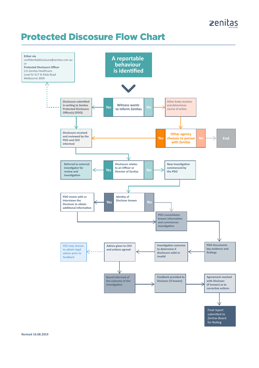# Protected Discosure Flow Chart

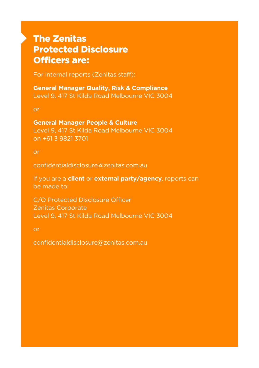### The Zenitas Protected Disclosure Officers are:

For internal reports (Zenitas staff):

**General Manager Quality, Risk & Compliance** Level 9, 417 St Kilda Road Melbourne VIC 3004

or

**General Manager People & Culture** Level 9, 417 St Kilda Road Melbourne VIC 3004 on +61 3 9821 3701

or

confidentialdisclosure@zenitas.com.au

If you are a **client** or **external party/agency**, reports can be made to:

C/O Protected Disclosure Officer Zenitas Corporate Level 9, 417 St Kilda Road Melbourne VIC 3004

or

confidentialdisclosure@zenitas.com.au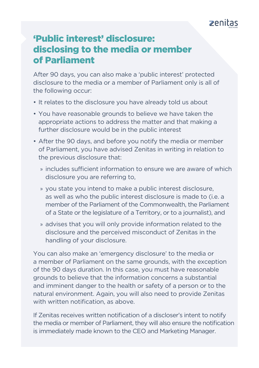#### $\overline{z}$ enitas

#### 'Public interest' disclosure: disclosing to the media or member of Parliament

After 90 days, you can also make a 'public interest' protected disclosure to the media or a member of Parliament only is all of the following occur:

- It relates to the disclosure you have already told us about
- You have reasonable grounds to believe we have taken the appropriate actions to address the matter and that making a further disclosure would be in the public interest
- After the 90 days, and before you notify the media or member of Parliament, you have advised Zenitas in writing in relation to the previous disclosure that:
	- » includes sufficient information to ensure we are aware of which disclosure you are referring to,
	- » you state you intend to make a public interest disclosure, as well as who the public interest disclosure is made to (i.e. a member of the Parliament of the Commonwealth, the Parliament of a State or the legislature of a Territory, or to a journalist), and
	- » advises that you will only provide information related to the disclosure and the perceived misconduct of Zenitas in the handling of your disclosure.

You can also make an 'emergency disclosure' to the media or a member of Parliament on the same grounds, with the exception of the 90 days duration. In this case, you must have reasonable grounds to believe that the information concerns a substantial and imminent danger to the health or safety of a person or to the natural environment. Again, you will also need to provide Zenitas with written notification, as above.

If Zenitas receives written notification of a discloser's intent to notify the media or member of Parliament, they will also ensure the notification is immediately made known to the CEO and Marketing Manager.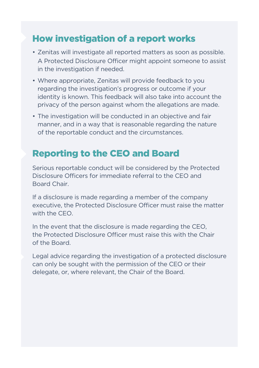#### How investigation of a report works

- Zenitas will investigate all reported matters as soon as possible. A Protected Disclosure Officer might appoint someone to assist in the investigation if needed.
- Where appropriate, Zenitas will provide feedback to you regarding the investigation's progress or outcome if your identity is known. This feedback will also take into account the privacy of the person against whom the allegations are made.
- The investigation will be conducted in an objective and fair manner, and in a way that is reasonable regarding the nature of the reportable conduct and the circumstances.

# Reporting to the CEO and Board

Serious reportable conduct will be considered by the Protected Disclosure Officers for immediate referral to the CEO and Board Chair.

If a disclosure is made regarding a member of the company executive, the Protected Disclosure Officer must raise the matter with the CEO.

In the event that the disclosure is made regarding the CEO, the Protected Disclosure Officer must raise this with the Chair of the Board.

Legal advice regarding the investigation of a protected disclosure can only be sought with the permission of the CEO or their delegate, or, where relevant, the Chair of the Board.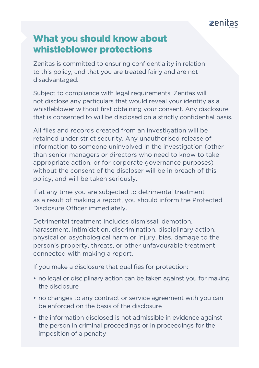

#### What you should know about whistleblower protections

Zenitas is committed to ensuring confidentiality in relation to this policy, and that you are treated fairly and are not disadvantaged.

Subject to compliance with legal requirements, Zenitas will not disclose any particulars that would reveal your identity as a whistleblower without first obtaining your consent. Any disclosure that is consented to will be disclosed on a strictly confidential basis.

All files and records created from an investigation will be retained under strict security. Any unauthorised release of information to someone uninvolved in the investigation (other than senior managers or directors who need to know to take appropriate action, or for corporate governance purposes) without the consent of the discloser will be in breach of this policy, and will be taken seriously.

If at any time you are subjected to detrimental treatment as a result of making a report, you should inform the Protected Disclosure Officer immediately.

Detrimental treatment includes dismissal, demotion, harassment, intimidation, discrimination, disciplinary action, physical or psychological harm or injury, bias, damage to the person's property, threats, or other unfavourable treatment connected with making a report.

If you make a disclosure that qualifies for protection:

- no legal or disciplinary action can be taken against you for making the disclosure
- no changes to any contract or service agreement with you can be enforced on the basis of the disclosure
- the information disclosed is not admissible in evidence against the person in criminal proceedings or in proceedings for the imposition of a penalty